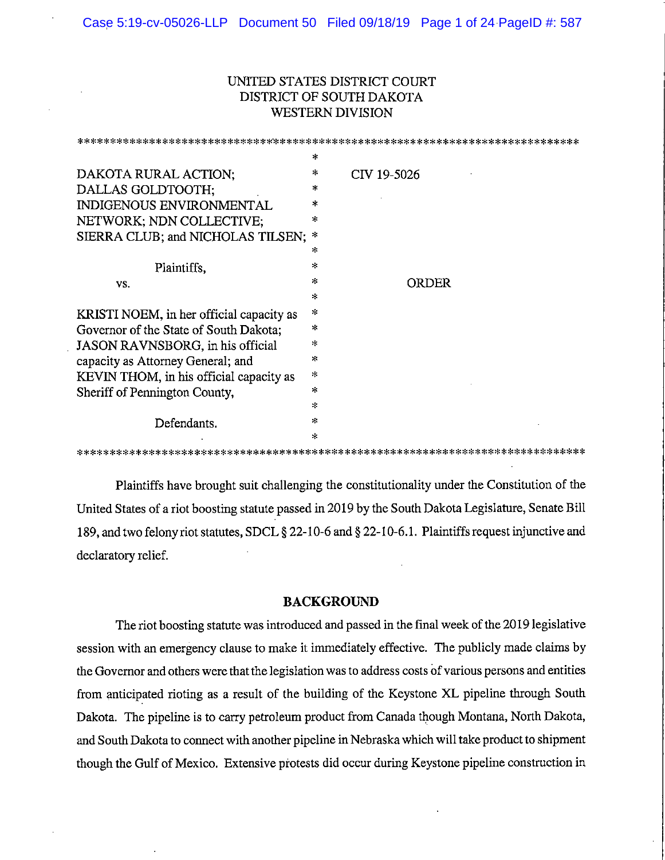# UNITED STATES DISTRICT COURT DISTRICT OF SOUTH DAKOTA **WESTERN DIVISION**

|                                              | $\ast$  |             |
|----------------------------------------------|---------|-------------|
| DAKOTA RURAL ACTION;                         | $\ast$  | CIV 19-5026 |
| DALLAS GOLDTOOTH;                            | *       |             |
| INDIGENOUS ENVIRONMENTAL                     | *       |             |
| NETWORK; NDN COLLECTIVE;                     | *       |             |
| SIERRA CLUB; and NICHOLAS TILSEN;            | $\ast$  |             |
|                                              | ж.      |             |
| Plaintiffs,                                  | *       |             |
| VS.                                          | $\star$ | ORDER       |
|                                              | *       |             |
| KRISTI NOEM, in her official capacity as     | $\star$ |             |
| Governor of the State of South Dakota;       | ж.      |             |
| JASON RAVNSBORG, in his official             | *       |             |
| capacity as Attorney General; and            | $\star$ |             |
| KEVIN THOM, in his official capacity as      | *       |             |
| Sheriff of Pennington County,<br>Defendants. | $\star$ |             |
|                                              | 字       |             |
|                                              | $\star$ |             |
|                                              | $\ast$  |             |
|                                              |         |             |

Plaintiffs have brought suit challenging the constitutionality under the Constitution of the United States of a riot boosting statute passed in 2019 by the South Dakota Legislature, Senate Bill 189, and two felony riot statutes, SDCL § 22-10-6 and § 22-10-6.1. Plaintiffs request injunctive and declaratory relief.

## **BACKGROUND**

The riot boosting statute was introduced and passed in the final week of the 2019 legislative session with an emergency clause to make it immediately effective. The publicly made claims by the Governor and others were that the legislation was to address costs of various persons and entities from anticipated rioting as a result of the building of the Keystone XL pipeline through South Dakota. The pipeline is to carry petroleum product from Canada though Montana, North Dakota, and South Dakota to connect with another pipeline in Nebraska which will take product to shipment though the Gulf of Mexico. Extensive protests did occur during Keystone pipeline construction in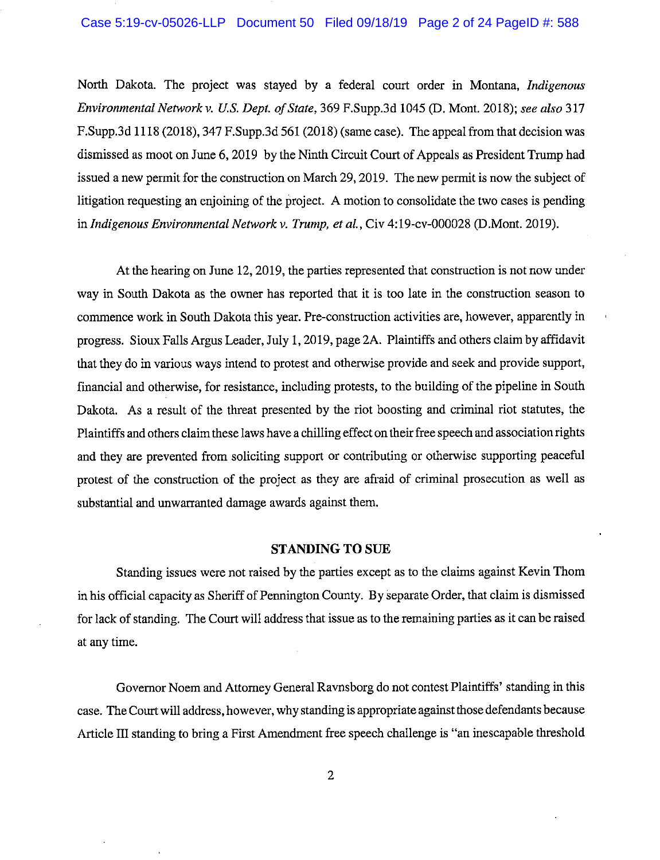### Case 5:19-cv-05026-LLP Document 50 Filed 09/18/19 Page 2 of 24 PageID #: 588

North Dakota. The project was stayed by a federal court order in Montana, Indigenous Environmental Network v. U.S. Dept. of State, 369 F.Supp.3d 1045 (D. Mont. 2018); see also 317 F.Supp.3d 1118 (2018), 347 F.Supp.3d 561 (2018) (same case). The appeal from that decision was dismissed as moot on June 6, 2019 by the Ninth Circuit Court of Appeals as President Trump had issued a new permit for the construction on March 29, 2019. The new permit is now the subject of litigation requesting an enjoining of the project. A motion to consolidate the two cases is pending in Indigenous Environmental Network v. Trump, et al., Civ 4:19-cv-000028 (D.Mont. 2019).

At the hearing on June 12, 2019, the parties represented that construction is not now under way in South Dakota as the owner has reported that it is too late in the construction season to commence work in South Dakota this year. Pre-construction activities are, however, apparently in progress. Sioux Falls Argus Leader, July 1, 2019, page 2A. Plaintiffs and others claim by affidavit that they do in various ways intend to protest and otherwise provide and seek and provide support, financial and otherwise, for resistance, including protests, to the building of the pipeline in South Dakota. As a result of the threat presented by the riot boosting and criminal riot statutes, the Plaintiffs and others claim these laws have a chilling effect on their free speech and association rights and they are prevented from soliciting support or contributing or otherwise supporting peaceful protest of the construction of the project as they are afraid of criminal prosecution as well as substantial and unwarranted damage awards against them.

#### **STANDING TO SUE**

Standing issues were not raised by the parties except as to the claims against Kevin Thom in his official capacity as Sheriff of Pennington County. By separate Order, that claim is dismissed for lack of standing. The Court will address that issue as to the remaining parties as it can be raised at any time.

Governor Noem and Attorney General Ravnsborg do not contest Plaintiffs' standing in this case. The Court will address, however, why standing is appropriate against those defendants because Article III standing to bring a First Amendment free speech challenge is "an inescapable threshold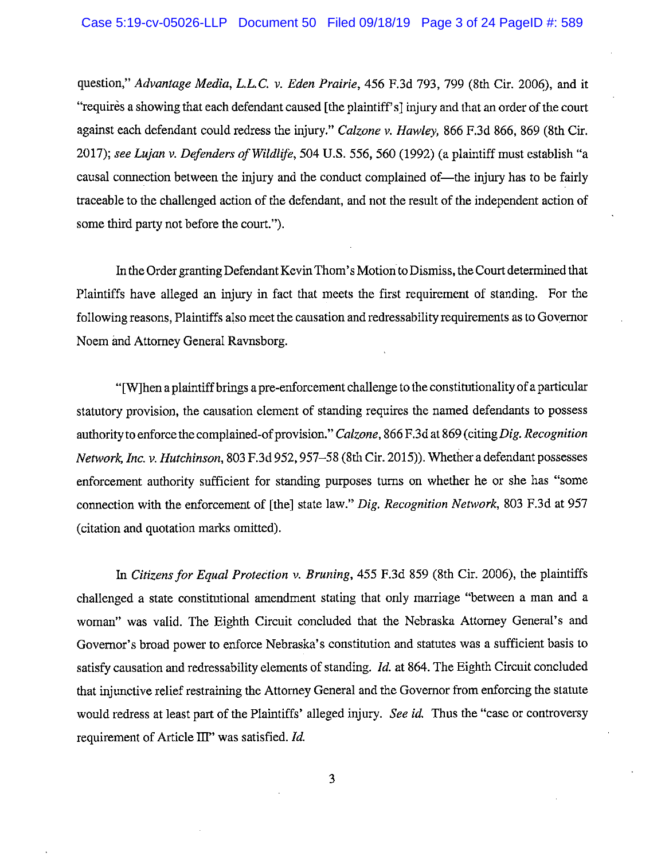question," Advantage Media, L.L.C. v. Eden Prairie, 456 F.3d 793, 799 (8th Cir. 2006), and it "requires a showing that each defendant caused [the plaint of s] injury and that an order of the court against each defendant could redress the injury." Calzone v. Hawley, 866 F.3d 866, 869 (8th Cir. 2017); see Lujan v. Defenders of Wildlife, 504 U.S. 556, 560 (1992) (a plaintiff must establish "a causal connection between the injury and the conduct complained of—the injury has to be fairly traceable to the challenged action of the defendant, and not the result of the independent action of some third party not before the court.").

In the Order granting Defendant Kevin Thom's Motion to Dismiss, the Court determined that Plaintiffs have alleged an injury in fact that meets the first requirement of standing. For the following reasons, Plaintiffs also meet the causation and redressability requirements as to Governor Noem and Attorney General Ravnsborg.

"[W]hen a plaintiff brings a pre-enforcement challenge to the constitutionality of a particular statutory provision, the causation element of standing requires the named defendants to possess authority to enforce the complained-of provision." Calzone, 866 F.3d at 869 (citing Dig. Recognition Network, Inc. v. Hutchinson, 803 F.3d 952, 957–58 (8th Cir. 2015)). Whether a defendant possesses enforcement authority sufficient for standing purposes turns on whether he or she has "some connection with the enforcement of [the] state law." Dig. Recognition Network, 803 F.3d at 957 (citation and quotation marks omitted).

In Citizens for Equal Protection v. Bruning, 455 F.3d 859 (8th Cir. 2006), the plaintiffs challenged a state constitutional amendment stating that only marriage "between a man and a woman" was valid. The Eighth Circuit concluded that the Nebraska Attorney General's and Governor's broad power to enforce Nebraska's constitution and statutes was a sufficient basis to satisfy causation and redressability elements of standing. *Id.* at 864. The Eighth Circuit concluded that injunctive relief restraining the Attorney General and the Governor from enforcing the statute would redress at least part of the Plaintiffs' alleged injury. See id. Thus the "case or controversy requirement of Article III" was satisfied. Id.

3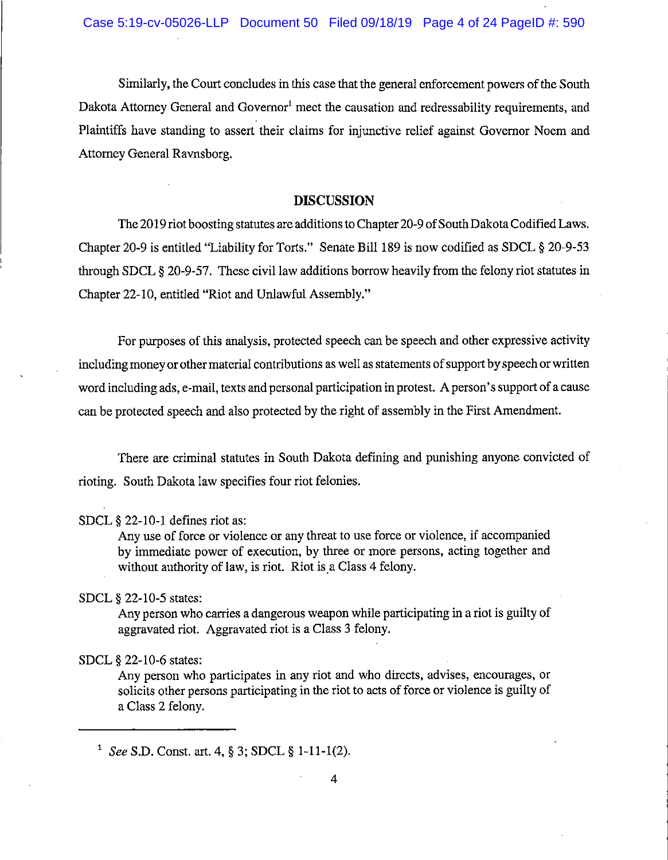Similarly, the Court concludes in this case that the general enforcement powers of the South Dakota Attorney General and Governor<sup>1</sup> meet the causation and redressability requirements, and Plaintiffs have standing to assert their claims for injunctive relief against Governor Noem and Attorney General Ravnsborg.

## **DISCUSSION**

The 2019 riot boosting statutes are additions to Chapter 20-9 of South Dakota Codified Laws. Chapter 20-9 is entitled "Liability for Torts." Senate Bill 189 is now codified as SDCL § 20-9-53 through SDCL § 20-9-57. These civil law additions borrow heavily from the felony riot statutes in Chapter 22-10, entitled "Riot and Unlawful Assembly."

For purposes of this analysis, protected speech can be speech and other expressive activity including money or other material contributions as well as statements of support by speech or written word including ads, e-mail, texts and personal participation in protest. A person's support of a cause can be protected speech and also protected by the right of assembly in the First Amendment.

There are criminal statutes in South Dakota defining and punishing anyone convicted of rioting. South Dakota law specifies four riot felonies.

## SDCL § 22-10-1 defines riot as:

Any use of force or violence or any threat to use force or violence, if accompanied by immediate power of execution, by three or more persons, acting together and without authority of law, is riot. Riot is a Class 4 felony.

## SDCL § 22-10-5 states:

Any person who carries a dangerous weapon while participating in a riot is guilty of aggravated riot. Aggravated riot is a Class 3 felony.

### SDCL § 22-10-6 states:

Any person who participates in any riot and who directs, advises, encourages, or solicits other persons participating in the riot to acts of force or violence is guilty of a Class 2 felony.

<sup>&</sup>lt;sup>1</sup> See S.D. Const. art. 4, § 3; SDCL § 1-11-1(2).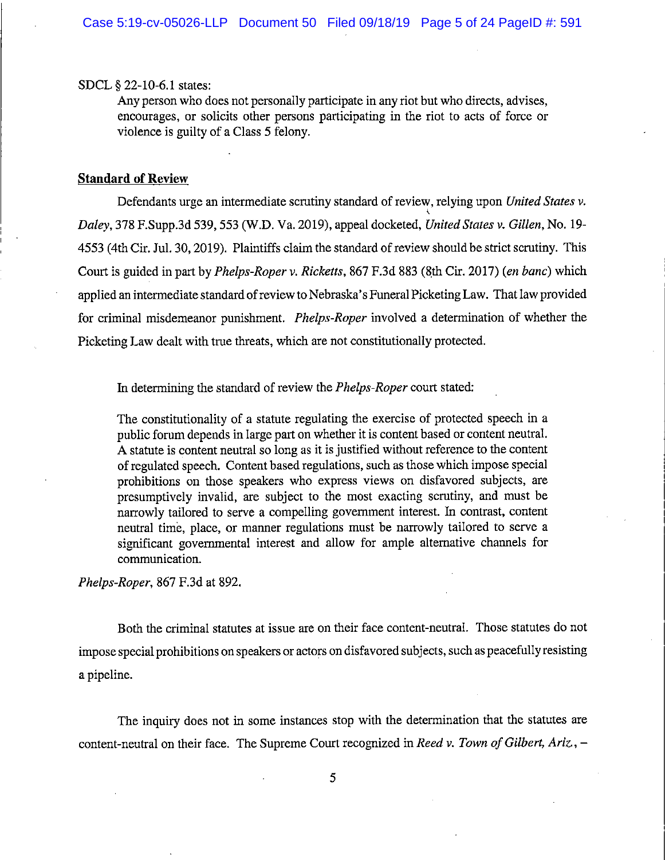#### SDCL § 22-10-6.1 states:

Any person who does not personally participate in any riot but who directs, advises, encourages, or solicits other persons participating in the riot to acts of force or violence is guilty of a Class 5 felony.

## **Standard of Review**

Defendants urge an intermediate scrutiny standard of review, relying upon United States v. Daley, 378 F.Supp.3d 539, 553 (W.D. Va. 2019), appeal docketed, United States v. Gillen, No. 19-4553 (4th Cir. Jul. 30, 2019). Plaintiffs claim the standard of review should be strict scrutiny. This Court is guided in part by *Phelps-Roper v. Ricketts*, 867 F.3d 883 (8th Cir. 2017) (*en banc*) which applied an intermediate standard of review to Nebraska's Funeral Picketing Law. That law provided for criminal misdemeanor punishment. *Phelps-Roper* involved a determination of whether the Picketing Law dealt with true threats, which are not constitutionally protected.

In determining the standard of review the *Phelps-Roper* court stated:

The constitutionality of a statute regulating the exercise of protected speech in a public forum depends in large part on whether it is content based or content neutral. A statute is content neutral so long as it is justified without reference to the content of regulated speech. Content based regulations, such as those which impose special prohibitions on those speakers who express views on disfavored subjects, are presumptively invalid, are subject to the most exacting scrutiny, and must be narrowly tailored to serve a compelling government interest. In contrast, content neutral time, place, or manner regulations must be narrowly tailored to serve a significant governmental interest and allow for ample alternative channels for communication.

Phelps-Roper, 867 F.3d at 892.

Both the criminal statutes at issue are on their face content-neutral. Those statutes do not impose special prohibitions on speakers or actors on disfavored subjects, such as peacefully resisting a pipeline.

The inquiry does not in some instances stop with the determination that the statutes are content-neutral on their face. The Supreme Court recognized in Reed v. Town of Gilbert, Ariz., -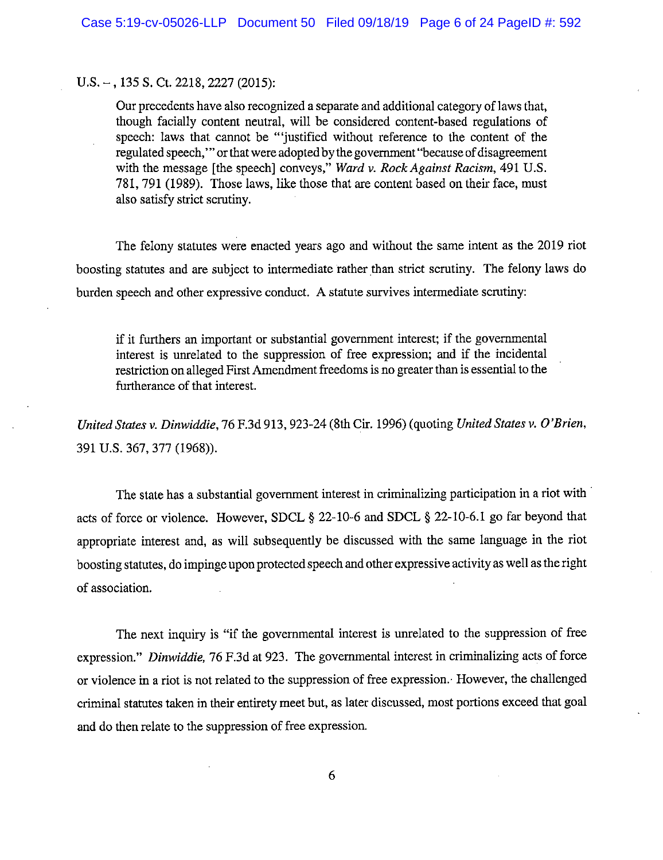## $U.S. -$ , 135 S. Ct. 2218, 2227 (2015):

Our precedents have also recognized a separate and additional category of laws that, though facially content neutral, will be considered content-based regulations of speech: laws that cannot be "'justified without reference to the content of the regulated speech," or that were adopted by the government "because of disagreement with the message [the speech] conveys," Ward v. Rock Against Racism, 491 U.S. 781, 791 (1989). Those laws, like those that are content based on their face, must also satisfy strict scrutiny.

The felony statutes were enacted years ago and without the same intent as the 2019 riot boosting statutes and are subject to intermediate rather than strict scrutiny. The felony laws do burden speech and other expressive conduct. A statute survives intermediate scrutiny:

if it furthers an important or substantial government interest; if the governmental interest is unrelated to the suppression of free expression; and if the incidental restriction on alleged First Amendment freedoms is no greater than is essential to the furtherance of that interest.

United States v. Dinwiddie, 76 F.3d 913, 923-24 (8th Cir. 1996) (quoting United States v. O'Brien, 391 U.S. 367, 377 (1968)).

The state has a substantial government interest in criminalizing participation in a riot with acts of force or violence. However, SDCL § 22-10-6 and SDCL § 22-10-6.1 go far beyond that appropriate interest and, as will subsequently be discussed with the same language in the riot boosting statutes, do impinge upon protected speech and other expressive activity as well as the right of association.

The next inquiry is "if the governmental interest is unrelated to the suppression of free expression." Dinwiddie, 76 F.3d at 923. The governmental interest in criminalizing acts of force or violence in a riot is not related to the suppression of free expression. However, the challenged criminal statutes taken in their entirety meet but, as later discussed, most portions exceed that goal and do then relate to the suppression of free expression.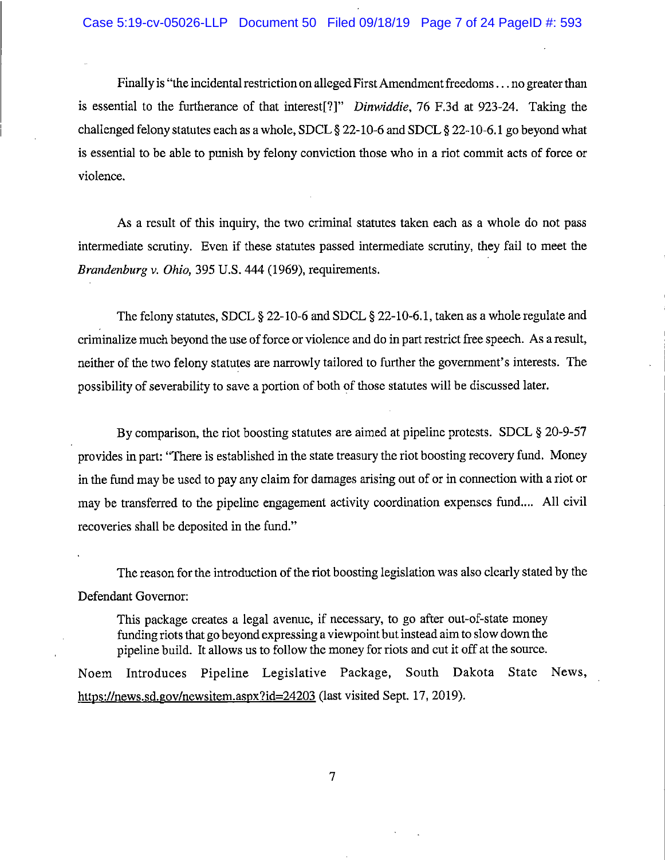Finally is "the incidental restriction on alleged First Amendment freedoms... no greater than is essential to the furtherance of that interest[?]" Dinwiddie, 76 F.3d at 923-24. Taking the challenged felony statutes each as a whole, SDCL § 22-10-6 and SDCL § 22-10-6.1 go beyond what is essential to be able to punish by felony conviction those who in a riot commit acts of force or violence.

As a result of this inquiry, the two criminal statutes taken each as a whole do not pass intermediate scrutiny. Even if these statutes passed intermediate scrutiny, they fail to meet the Brandenburg v. Ohio, 395 U.S. 444 (1969), requirements.

The felony statutes, SDCL § 22-10-6 and SDCL § 22-10-6.1, taken as a whole regulate and criminalize much beyond the use of force or violence and do in part restrict free speech. As a result, neither of the two felony statutes are narrowly tailored to further the government's interests. The possibility of severability to save a portion of both of those statutes will be discussed later.

By comparison, the riot boosting statutes are aimed at pipeline protests. SDCL  $\S 20$ -9-57 provides in part: "There is established in the state treasury the riot boosting recovery fund. Money in the fund may be used to pay any claim for damages arising out of or in connection with a riot or may be transferred to the pipeline engagement activity coordination expenses fund.... All civil recoveries shall be deposited in the fund."

The reason for the introduction of the riot boosting legislation was also clearly stated by the Defendant Governor:

This package creates a legal avenue, if necessary, to go after out-of-state money funding riots that go beyond expressing a viewpoint but instead aim to slow down the pipeline build. It allows us to follow the money for riots and cut it off at the source.

Noem Introduces Pipeline Legislative Package, South Dakota State News, https://news.sd.gov/newsitem.aspx?id=24203 (last visited Sept. 17, 2019).

 $\overline{7}$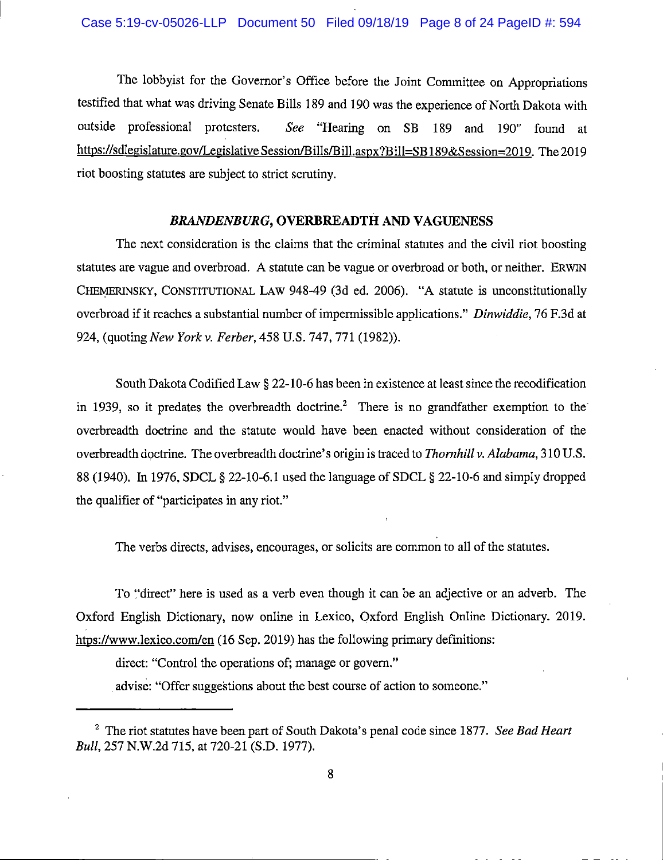The lobbyist for the Governor's Office before the Joint Committee on Appropriations testified that what was driving Senate Bills 189 and 190 was the experience of North Dakota with outside professional protesters. See "Hearing on SB 189 and 190" found at https://sdlegislature.gov/LegislativeSession/Bills/Bill.aspx?Bill=SB189&Session=2019. The 2019 riot boosting statutes are subject to strict scrutiny.

## **BRANDENBURG, OVERBREADTH AND VAGUENESS**

The next consideration is the claims that the criminal statutes and the civil riot boosting statutes are vague and overbroad. A statute can be vague or overbroad or both, or neither. ERWIN CHEMERINSKY, CONSTITUTIONAL LAW 948-49 (3d ed. 2006). "A statute is unconstitutionally overbroad if it reaches a substantial number of impermissible applications." Dinwiddie, 76 F.3d at 924, (quoting New York v. Ferber, 458 U.S. 747, 771 (1982)).

South Dakota Codified Law § 22-10-6 has been in existence at least since the recodification in 1939, so it predates the overbreadth doctrine.<sup>2</sup> There is no grandfather exemption to the overbreadth doctrine and the statute would have been enacted without consideration of the overbreadth doctrine. The overbreadth doctrine's origin is traced to Thornhill v. Alabama, 310 U.S. 88 (1940). In 1976, SDCL § 22-10-6.1 used the language of SDCL § 22-10-6 and simply dropped the qualifier of "participates in any riot."

The verbs directs, advises, encourages, or solicits are common to all of the statutes.

To "direct" here is used as a verb even though it can be an adjective or an adverb. The Oxford English Dictionary, now online in Lexico, Oxford English Online Dictionary. 2019. htps://www.lexico.com/en (16 Sep. 2019) has the following primary definitions:

direct: "Control the operations of; manage or govern."

advise: "Offer suggestions about the best course of action to someone."

<sup>&</sup>lt;sup>2</sup> The riot statutes have been part of South Dakota's penal code since 1877. See Bad Heart Bull, 257 N.W.2d 715, at 720-21 (S.D. 1977).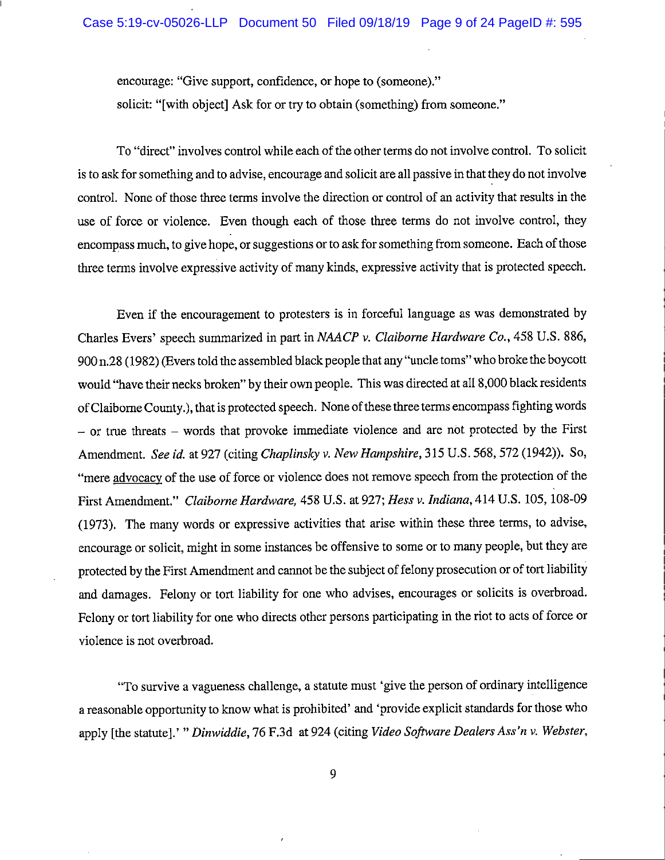encourage: "Give support, confidence, or hope to (someone)." solicit: "[with object] Ask for or try to obtain (something) from someone."

To "direct" involves control while each of the other terms do not involve control. To solicit is to ask for something and to advise, encourage and solicit are all passive in that they do not involve control. None of those three terms involve the direction or control of an activity that results in the use of force or violence. Even though each of those three terms do not involve control, they encompass much, to give hope, or suggestions or to ask for something from someone. Each of those three terms involve expressive activity of many kinds, expressive activity that is protected speech.

Even if the encouragement to protesters is in forceful language as was demonstrated by Charles Evers' speech summarized in part in NAACP v. Claiborne Hardware Co., 458 U.S. 886, 900 n.28 (1982) (Evers told the assembled black people that any "uncle toms" who broke the boycott would "have their necks broken" by their own people. This was directed at all 8,000 black residents of Claiborne County.), that is protected speech. None of these three terms encompass fighting words  $-$  or true threats  $-$  words that provoke immediate violence and are not protected by the First Amendment. See id. at 927 (citing Chaplinsky v. New Hampshire, 315 U.S. 568, 572 (1942)). So, "mere advocacy of the use of force or violence does not remove speech from the protection of the First Amendment." Claiborne Hardware, 458 U.S. at 927; Hess v. Indiana, 414 U.S. 105, 108-09 (1973). The many words or expressive activities that arise within these three terms, to advise, encourage or solicit, might in some instances be offensive to some or to many people, but they are protected by the First Amendment and cannot be the subject of felony prosecution or of tort liability and damages. Felony or tort liability for one who advises, encourages or solicits is overbroad. Felony or tort liability for one who directs other persons participating in the riot to acts of force or violence is not overbroad.

"To survive a vagueness challenge, a statute must 'give the person of ordinary intelligence a reasonable opportunity to know what is prohibited' and 'provide explicit standards for those who apply [the statute].' " Dinwiddie, 76 F.3d at 924 (citing Video Software Dealers Ass'n v. Webster,

9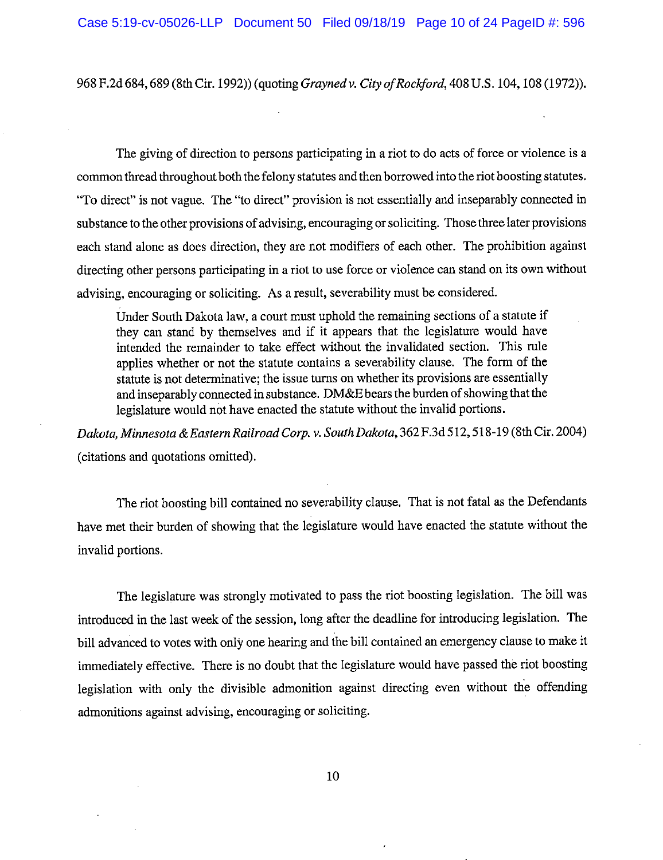968 F.2d 684, 689 (8th Cir. 1992)) (quoting *Grayned v. City of Rockford*, 408 U.S. 104, 108 (1972)).

The giving of direction to persons participating in a riot to do acts of force or violence is a common thread throughout both the felony statutes and then borrowed into the riot boosting statutes. "To direct" is not vague. The "to direct" provision is not essentially and inseparably connected in substance to the other provisions of advising, encouraging or soliciting. Those three later provisions each stand alone as does direction, they are not modifiers of each other. The prohibition against directing other persons participating in a riot to use force or violence can stand on its own without advising, encouraging or soliciting. As a result, severability must be considered.

Under South Dakota law, a court must uphold the remaining sections of a statute if they can stand by themselves and if it appears that the legislature would have intended the remainder to take effect without the invalidated section. This rule applies whether or not the statute contains a severability clause. The form of the statute is not determinative; the issue turns on whether its provisions are essentially and inseparably connected in substance. DM&E bears the burden of showing that the legislature would not have enacted the statute without the invalid portions.

Dakota, Minnesota & Eastern Railroad Corp. v. South Dakota, 362 F.3d 512, 518-19 (8th Cir. 2004) (citations and quotations omitted).

The riot boosting bill contained no severability clause. That is not fatal as the Defendants have met their burden of showing that the legislature would have enacted the statute without the invalid portions.

The legislature was strongly motivated to pass the riot boosting legislation. The bill was introduced in the last week of the session, long after the deadline for introducing legislation. The bill advanced to votes with only one hearing and the bill contained an emergency clause to make it immediately effective. There is no doubt that the legislature would have passed the riot boosting legislation with only the divisible admonition against directing even without the offending admonitions against advising, encouraging or soliciting.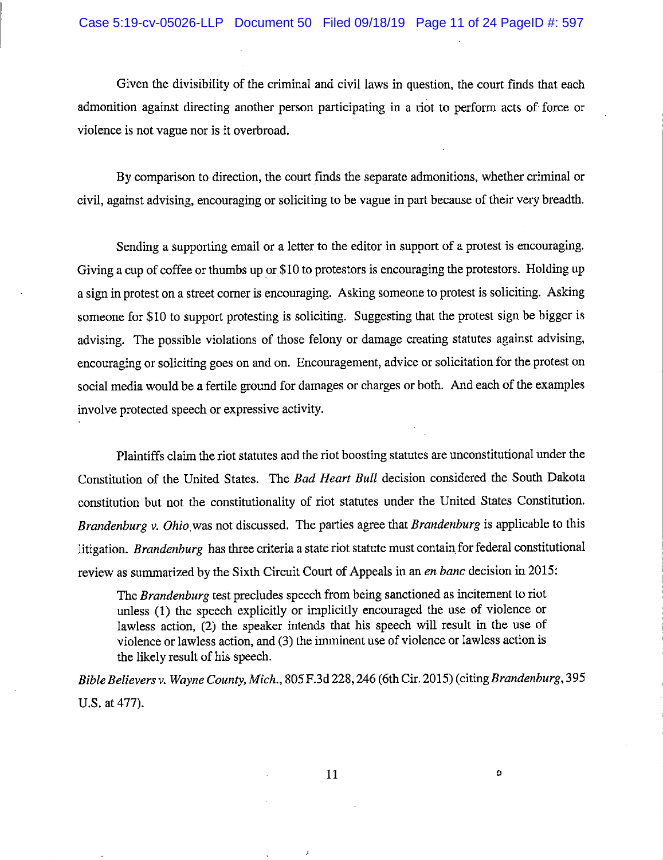Given the divisibility of the criminal and civil laws in question, the court finds that each admonition against directing another person participating in a riot to perform acts of force or violence is not vague nor is it overbroad.

By comparison to direction, the court finds the separate admonitions, whether criminal or civil, against advising, encouraging or soliciting to be vague in part because of their very breadth.

Sending a supporting email or a letter to the editor in support of a protest is encouraging. Giving a cup of coffee or thumbs up or \$10 to protestors is encouraging the protestors. Holding up a sign in protest on a street corner is encouraging. Asking someone to protest is soliciting. Asking someone for \$10 to support protesting is soliciting. Suggesting that the protest sign be bigger is advising. The possible violations of those felony or damage creating statutes against advising, encouraging or soliciting goes on and on. Encouragement, advice or solicitation for the protest on social media would be a fertile ground for damages or charges or both. And each of the examples involve protected speech or expressive activity.

Plaintiffs claim the riot statutes and the riot boosting statutes are unconstitutional under the Constitution of the United States. The Bad Heart Bull decision considered the South Dakota constitution but not the constitutionality of riot statutes under the United States Constitution. Brandenburg v. Ohio was not discussed. The parties agree that Brandenburg is applicable to this litigation. Brandenburg has three criteria a state riot statute must contain for federal constitutional review as summarized by the Sixth Circuit Court of Appeals in an en banc decision in 2015:

The Brandenburg test precludes speech from being sanctioned as incitement to riot unless (1) the speech explicitly or implicitly encouraged the use of violence or lawless action, (2) the speaker intends that his speech will result in the use of violence or lawless action, and (3) the imminent use of violence or lawless action is the likely result of his speech.

Bible Believers v. Wayne County, Mich., 805 F.3d 228, 246 (6th Cir. 2015) (citing Brandenburg, 395 U.S. at 477).

 $\mathbf{o}$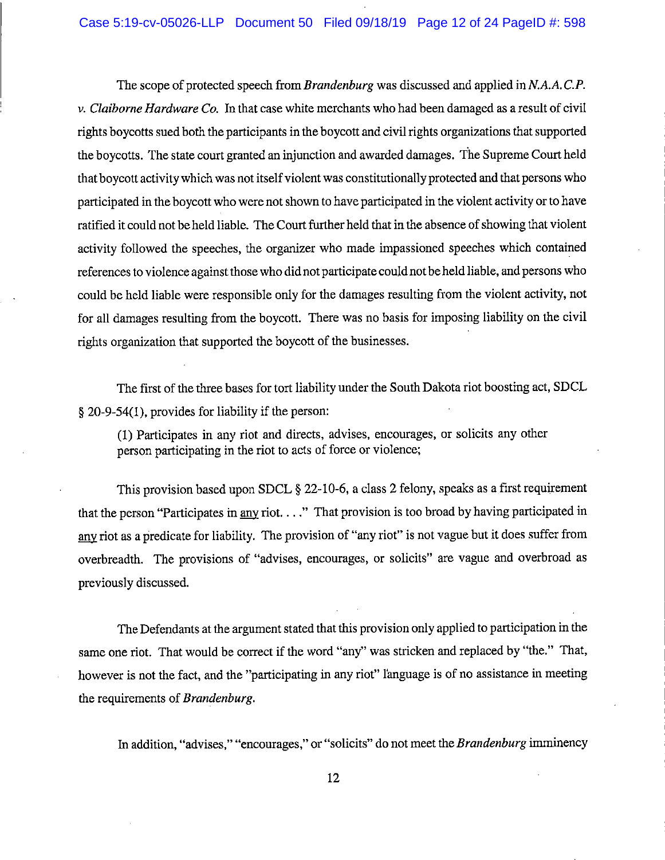The scope of protected speech from *Brandenburg* was discussed and applied in N.A.A.C.P. v. Claiborne Hardware Co. In that case white merchants who had been damaged as a result of civil rights boycotts sued both the participants in the boycott and civil rights organizations that supported the boycotts. The state court granted an injunction and awarded damages. The Supreme Court held that boycott activity which was not itself violent was constitutionally protected and that persons who participated in the boycott who were not shown to have participated in the violent activity or to have ratified it could not be held liable. The Court further held that in the absence of showing that violent activity followed the speeches, the organizer who made impassioned speeches which contained references to violence against those who did not participate could not be held liable, and persons who could be held liable were responsible only for the damages resulting from the violent activity, not for all damages resulting from the boycott. There was no basis for imposing liability on the civil rights organization that supported the boycott of the businesses.

The first of the three bases for tort liability under the South Dakota riot boosting act, SDCL § 20-9-54(1), provides for liability if the person:

(1) Participates in any riot and directs, advises, encourages, or solicits any other person participating in the riot to acts of force or violence;

This provision based upon SDCL § 22-10-6, a class 2 felony, speaks as a first requirement that the person "Participates in any riot...." That provision is too broad by having participated in any riot as a predicate for liability. The provision of "any riot" is not vague but it does suffer from overbreadth. The provisions of "advises, encourages, or solicits" are vague and overbroad as previously discussed.

The Defendants at the argument stated that this provision only applied to participation in the same one riot. That would be correct if the word "any" was stricken and replaced by "the." That, however is not the fact, and the "participating in any riot" l'anguage is of no assistance in meeting the requirements of Brandenburg.

In addition, "advises," "encourages," or "solicits" do not meet the Brandenburg imminency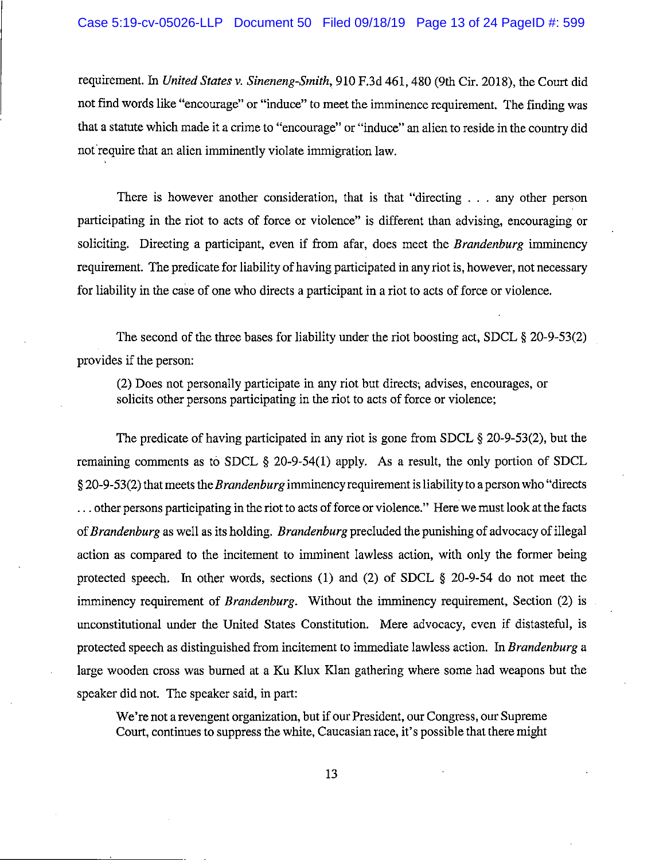requirement. In United States v. Sineneng-Smith, 910 F.3d 461, 480 (9th Cir. 2018), the Court did not find words like "encourage" or "induce" to meet the imminence requirement. The finding was that a statute which made it a crime to "encourage" or "induce" an alien to reside in the country did not require that an alien imminently violate immigration law.

There is however another consideration, that is that "directing . . . any other person participating in the riot to acts of force or violence" is different than advising, encouraging or soliciting. Directing a participant, even if from a far, does meet the *Brandenburg* imminency requirement. The predicate for liability of having participated in any riot is, however, not necessary for liability in the case of one who directs a participant in a riot to acts of force or violence.

The second of the three bases for liability under the riot boosting act, SDCL § 20-9-53(2) provides if the person:

(2) Does not personally participate in any riot but directs, advises, encourages, or solicits other persons participating in the riot to acts of force or violence;

The predicate of having participated in any riot is gone from SDCL  $\S 20-9-53(2)$ , but the remaining comments as to SDCL  $\S$  20-9-54(1) apply. As a result, the only portion of SDCL § 20-9-53(2) that meets the *Brandenburg* imminency requirement is liability to a person who "directs" ... other persons participating in the riot to acts of force or violence." Here we must look at the facts of Brandenburg as well as its holding. Brandenburg precluded the punishing of advocacy of illegal action as compared to the incitement to imminent lawless action, with only the former being protected speech. In other words, sections (1) and (2) of SDCL  $\S$  20-9-54 do not meet the imminency requirement of *Brandenburg*. Without the imminency requirement, Section (2) is unconstitutional under the United States Constitution. Mere advocacy, even if distasteful, is protected speech as distinguished from incitement to immediate lawless action. In Brandenburg a large wooden cross was burned at a Ku Klux Klan gathering where some had weapons but the speaker did not. The speaker said, in part:

We're not a revengent organization, but if our President, our Congress, our Supreme Court, continues to suppress the white, Caucasian race, it's possible that there might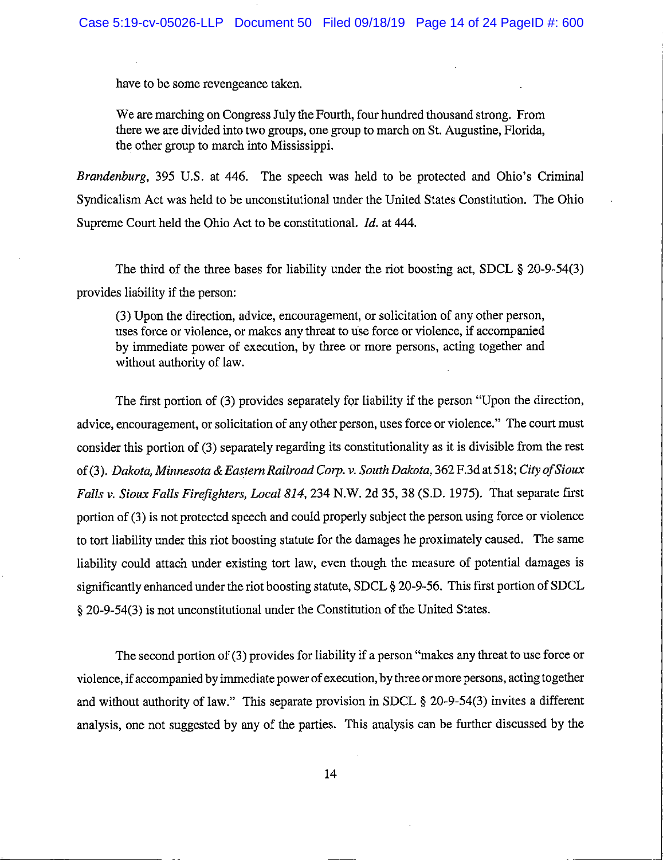have to be some revengeance taken.

We are marching on Congress July the Fourth, four hundred thousand strong. From there we are divided into two groups, one group to march on St. Augustine, Florida, the other group to march into Mississippi.

Brandenburg, 395 U.S. at 446. The speech was held to be protected and Ohio's Criminal Syndicalism Act was held to be unconstitutional under the United States Constitution. The Ohio Supreme Court held the Ohio Act to be constitutional. *Id.* at 444.

The third of the three bases for liability under the riot boosting act, SDCL  $\S 20-9-54(3)$ provides liability if the person:

(3) Upon the direction, advice, encouragement, or solicitation of any other person, uses force or violence, or makes any threat to use force or violence, if accompanied by immediate power of execution, by three or more persons, acting together and without authority of law.

The first portion of (3) provides separately for liability if the person "Upon the direction, advice, encouragement, or solicitation of any other person, uses force or violence." The court must consider this portion of (3) separately regarding its constitutionality as it is divisible from the rest of (3). Dakota, Minnesota & Eastern Railroad Corp. v. South Dakota, 362 F.3d at 518; City of Sioux Falls v. Sioux Falls Firefighters, Local 814, 234 N.W. 2d 35, 38 (S.D. 1975). That separate first portion of (3) is not protected speech and could properly subject the person using force or violence to tort liability under this riot boosting statute for the damages he proximately caused. The same liability could attach under existing tort law, even though the measure of potential damages is significantly enhanced under the riot boosting statute, SDCL § 20-9-56. This first portion of SDCL § 20-9-54(3) is not unconstitutional under the Constitution of the United States.

The second portion of (3) provides for liability if a person "makes any threat to use force or violence, if accompanied by immediate power of execution, by three or more persons, acting together and without authority of law." This separate provision in SDCL § 20-9-54(3) invites a different analysis, one not suggested by any of the parties. This analysis can be further discussed by the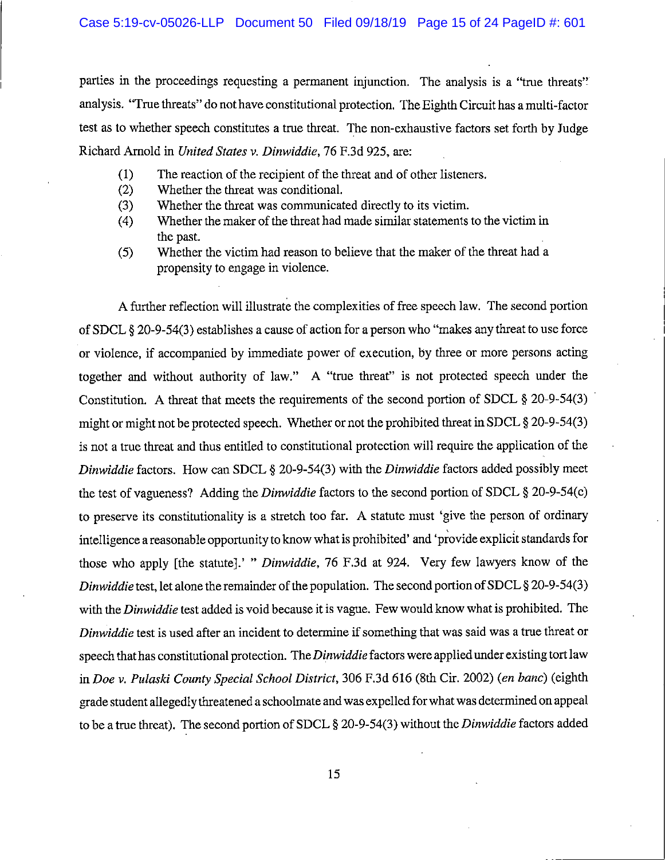parties in the proceedings requesting a permanent injunction. The analysis is a "true threats" analysis. "True threats" do not have constitutional protection. The Eighth Circuit has a multi-factor test as to whether speech constitutes a true threat. The non-exhaustive factors set forth by Judge Richard Arnold in United States v. Dinwiddie, 76 F.3d 925, are:

- The reaction of the recipient of the threat and of other listeners.  $(1)$
- Whether the threat was conditional.  $(2)$
- $(3)$ Whether the threat was communicated directly to its victim.
- Whether the maker of the threat had made similar statements to the victim in  $(4)$ the past.
- Whether the victim had reason to believe that the maker of the threat had a  $(5)$ propensity to engage in violence.

A further reflection will illustrate the complexities of free speech law. The second portion of SDCL § 20-9-54(3) establishes a cause of action for a person who "makes any threat to use force or violence, if accompanied by immediate power of execution, by three or more persons acting together and without authority of law." A "true threat" is not protected speech under the Constitution. A threat that meets the requirements of the second portion of SDCL  $\S 20$ -9-54(3) might or might not be protected speech. Whether or not the prohibited threat in SDCL § 20-9-54(3) is not a true threat and thus entitled to constitutional protection will require the application of the Dinwiddie factors. How can SDCL § 20-9-54(3) with the Dinwiddie factors added possibly meet the test of vagueness? Adding the Dinwiddie factors to the second portion of SDCL § 20-9-54(c) to preserve its constitutionality is a stretch too far. A statute must 'give the person of ordinary intelligence a reasonable opportunity to know what is prohibited' and 'provide explicit standards for those who apply [the statute].' " Dinwiddie, 76 F.3d at 924. Very few lawyers know of the Dinwiddie test, let alone the remainder of the population. The second portion of SDCL § 20-9-54(3) with the Dinwiddie test added is void because it is vague. Few would know what is prohibited. The Dinwiddie test is used after an incident to determine if something that was said was a true threat or speech that has constitutional protection. The Dinwiddie factors were applied under existing tort law in Doe v. Pulaski County Special School District, 306 F.3d 616 (8th Cir. 2002) (en banc) (eighth grade student allegedly threatened a schoolmate and was expelled for what was determined on appeal to be a true threat). The second portion of SDCL  $\S 20-9-54(3)$  without the *Dinwiddie* factors added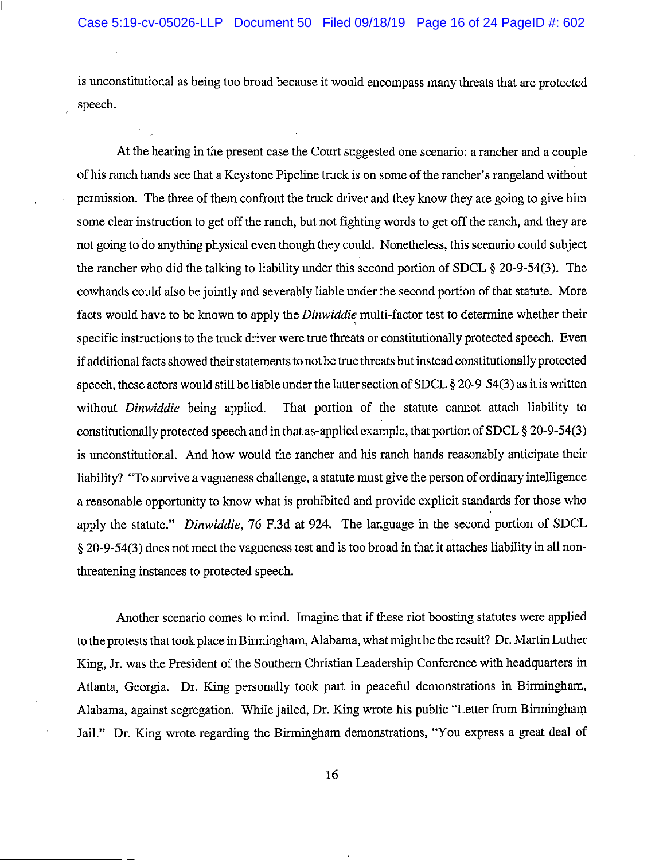is unconstitutional as being too broad because it would encompass many threats that are protected speech.

At the hearing in the present case the Court suggested one scenario: a rancher and a couple of his ranch hands see that a Keystone Pipeline truck is on some of the rancher's rangeland without permission. The three of them confront the truck driver and they know they are going to give him some clear instruction to get off the ranch, but not fighting words to get off the ranch, and they are not going to do anything physical even though they could. Nonetheless, this scenario could subject the rancher who did the talking to liability under this second portion of SDCL  $\S 20-9-54(3)$ . The cowhands could also be jointly and severably liable under the second portion of that statute. More facts would have to be known to apply the *Dinwiddie* multi-factor test to determine whether their specific instructions to the truck driver were true threats or constitutionally protected speech. Even if additional facts showed their statements to not be true threats but instead constitutionally protected speech, these actors would still be liable under the latter section of SDCL § 20-9-54(3) as it is written That portion of the statute cannot attach liability to without *Dinwiddie* being applied. constitutionally protected speech and in that as-applied example, that portion of SDCL § 20-9-54(3) is unconstitutional. And how would the rancher and his ranch hands reasonably anticipate their liability? "To survive a vagueness challenge, a statute must give the person of ordinary intelligence a reasonable opportunity to know what is prohibited and provide explicit standards for those who apply the statute." Dinwiddie, 76 F.3d at 924. The language in the second portion of SDCL § 20-9-54(3) does not meet the vagueness test and is too broad in that it attaches liability in all nonthreatening instances to protected speech.

Another scenario comes to mind. Imagine that if these riot boosting statutes were applied to the protests that took place in Birmingham, Alabama, what might be the result? Dr. Martin Luther King, Jr. was the President of the Southern Christian Leadership Conference with headquarters in Atlanta, Georgia. Dr. King personally took part in peaceful demonstrations in Birmingham, Alabama, against segregation. While jailed, Dr. King wrote his public "Letter from Birmingham Jail." Dr. King wrote regarding the Birmingham demonstrations, "You express a great deal of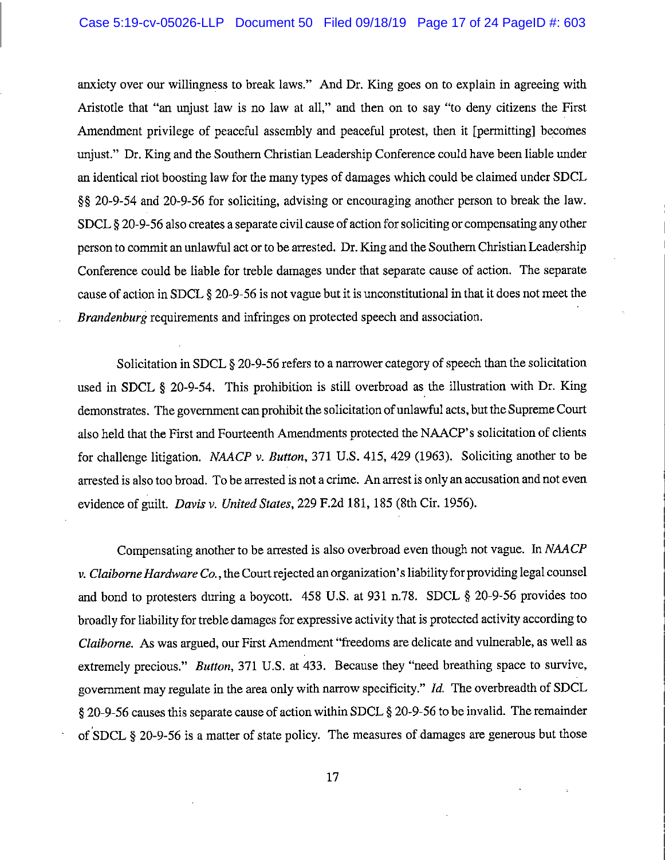### Case 5:19-cv-05026-LLP Document 50 Filed 09/18/19 Page 17 of 24 PageID #: 603

anxiety over our willingness to break laws." And Dr. King goes on to explain in agreeing with Aristotle that "an unjust law is no law at all," and then on to say "to deny citizens the First Amendment privilege of peaceful assembly and peaceful protest, then it [permitting] becomes unjust." Dr. King and the Southern Christian Leadership Conference could have been liable under an identical riot boosting law for the many types of damages which could be claimed under SDCL §§ 20-9-54 and 20-9-56 for soliciting, advising or encouraging another person to break the law. SDCL § 20-9-56 also creates a separate civil cause of action for soliciting or compensating any other person to commit an unlawful act or to be arrested. Dr. King and the Southern Christian Leadership Conference could be liable for treble damages under that separate cause of action. The separate cause of action in SDCL § 20-9-56 is not vague but it is unconstitutional in that it does not meet the Brandenburg requirements and infringes on protected speech and association.

Solicitation in SDCL § 20-9-56 refers to a narrower category of speech than the solicitation used in SDCL § 20-9-54. This prohibition is still overbroad as the illustration with Dr. King demonstrates. The government can prohibit the solicitation of unlawful acts, but the Supreme Court also held that the First and Fourteenth Amendments protected the NAACP's solicitation of clients for challenge litigation. NAACP v. Button, 371 U.S. 415, 429 (1963). Soliciting another to be arrested is also too broad. To be arrested is not a crime. An arrest is only an accusation and not even evidence of guilt. Davis v. United States, 229 F.2d 181, 185 (8th Cir. 1956).

Compensating another to be arrested is also overbroad even though not vague. In NAACP v. Claiborne Hardware Co., the Court rejected an organization's liability for providing legal counsel and bond to protesters during a boycott. 458 U.S. at 931 n.78. SDCL § 20-9-56 provides too broadly for liability for treble damages for expressive activity that is protected activity according to Claiborne. As was argued, our First Amendment "freedoms are delicate and vulnerable, as well as extremely precious." *Button*, 371 U.S. at 433. Because they "need breathing space to survive, government may regulate in the area only with narrow specificity." Id. The overbreadth of SDCL § 20-9-56 causes this separate cause of action within SDCL § 20-9-56 to be invalid. The remainder of SDCL § 20-9-56 is a matter of state policy. The measures of damages are generous but those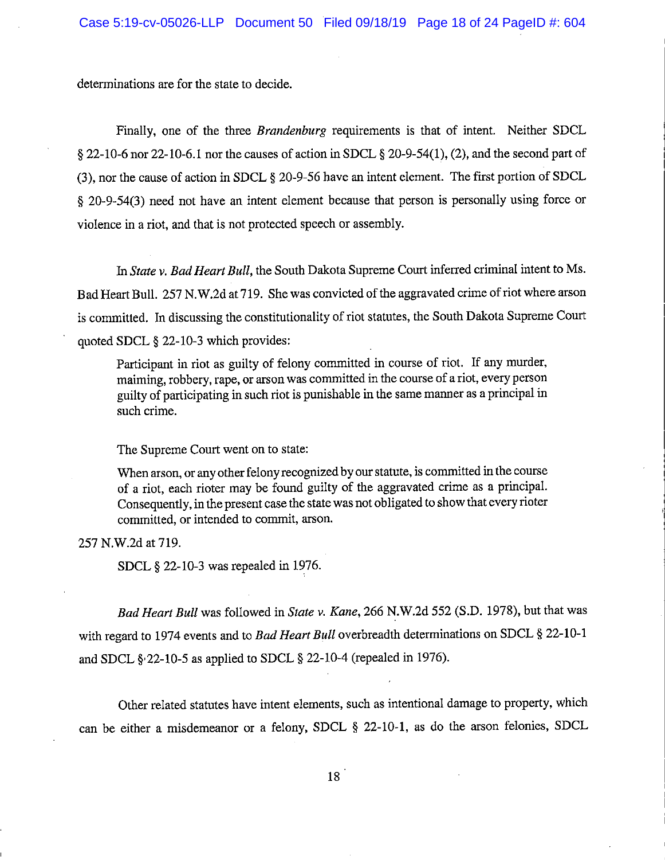determinations are for the state to decide.

Finally, one of the three *Brandenburg* requirements is that of intent. Neither SDCL  $\S$  22-10-6 nor 22-10-6.1 nor the causes of action in SDCL  $\S$  20-9-54(1), (2), and the second part of (3), nor the cause of action in SDCL § 20-9-56 have an intent element. The first portion of SDCL § 20-9-54(3) need not have an intent element because that person is personally using force or violence in a riot, and that is not protected speech or assembly.

In State y. Bad Heart Bull, the South Dakota Supreme Court inferred criminal intent to Ms. Bad Heart Bull. 257 N.W.2d at 719. She was convicted of the aggravated crime of riot where arson is committed. In discussing the constitutionality of riot statutes, the South Dakota Supreme Court quoted SDCL § 22-10-3 which provides:

Participant in riot as guilty of felony committed in course of riot. If any murder, maiming, robbery, rape, or arson was committed in the course of a riot, every person guilty of participating in such riot is punishable in the same manner as a principal in such crime.

The Supreme Court went on to state:

When arson, or any other felony recognized by our statute, is committed in the course of a riot, each rioter may be found guilty of the aggravated crime as a principal. Consequently, in the present case the state was not obligated to show that every rioter committed, or intended to commit, arson.

257 N.W.2d at 719.

SDCL § 22-10-3 was repealed in 1976.

Bad Heart Bull was followed in State v. Kane, 266 N.W.2d 552 (S.D. 1978), but that was with regard to 1974 events and to Bad Heart Bull overbreadth determinations on SDCL § 22-10-1 and SDCL  $\S$  22-10-5 as applied to SDCL  $\S$  22-10-4 (repealed in 1976).

Other related statutes have intent elements, such as intentional damage to property, which can be either a misdemeanor or a felony, SDCL § 22-10-1, as do the arson felonies, SDCL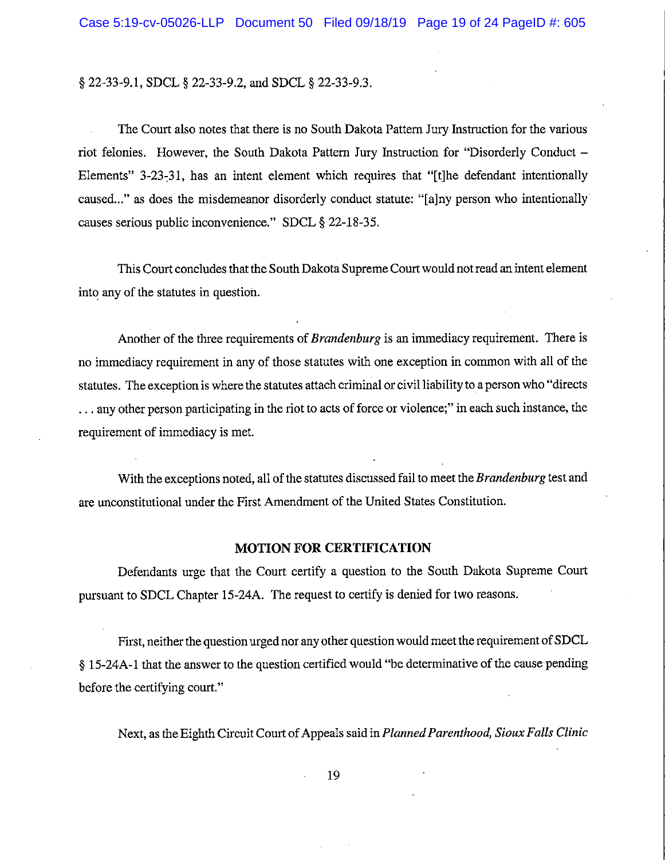§ 22-33-9.1, SDCL § 22-33-9.2, and SDCL § 22-33-9.3.

The Court also notes that there is no South Dakota Pattern Jury Instruction for the various riot felonies. However, the South Dakota Pattern Jury Instruction for "Disorderly Conduct -Elements" 3-23-31, has an intent element which requires that "[t]he defendant intentionally caused..." as does the misdemeanor disorderly conduct statute: "[a]ny person who intentionally causes serious public inconvenience." SDCL § 22-18-35.

This Court concludes that the South Dakota Supreme Court would not read an intent element into any of the statutes in question.

Another of the three requirements of *Brandenburg* is an immediacy requirement. There is no immediacy requirement in any of those statutes with one exception in common with all of the statutes. The exception is where the statutes attach criminal or civil liability to a person who "directs" ... any other person participating in the riot to acts of force or violence;" in each such instance, the requirement of immediacy is met.

With the exceptions noted, all of the statutes discussed fail to meet the Brandenburg test and are unconstitutional under the First Amendment of the United States Constitution.

### **MOTION FOR CERTIFICATION**

Defendants urge that the Court certify a question to the South Dakota Supreme Court pursuant to SDCL Chapter 15-24A. The request to certify is denied for two reasons.

First, neither the question urged nor any other question would meet the requirement of SDCL § 15-24A-1 that the answer to the question certified would "be determinative of the cause pending before the certifying court."

Next, as the Eighth Circuit Court of Appeals said in Planned Parenthood, Sioux Falls Clinic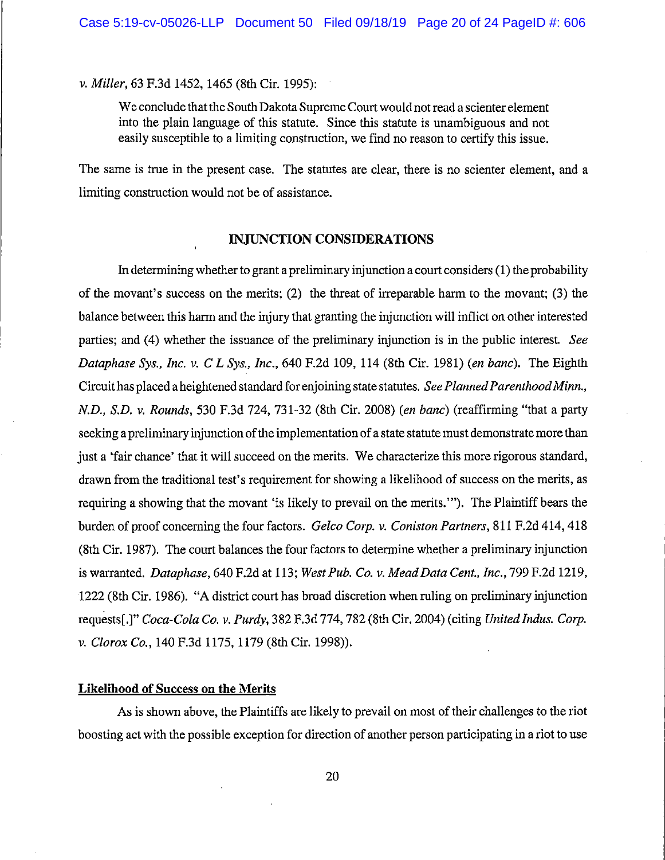v. Miller, 63 F.3d 1452, 1465 (8th Cir. 1995):

We conclude that the South Dakota Supreme Court would not read a scienter element into the plain language of this statute. Since this statute is unambiguous and not easily susceptible to a limiting construction, we find no reason to certify this issue.

The same is true in the present case. The statutes are clear, there is no scienter element, and a limiting construction would not be of assistance.

#### INJUNCTION CONSIDERATIONS

In determining whether to grant a preliminary injunction a court considers (1) the probability of the movant's success on the merits; (2) the threat of irreparable harm to the movant; (3) the balance between this harm and the injury that granting the injunction will inflict on other interested parties; and (4) whether the issuance of the preliminary injunction is in the public interest. See Dataphase Sys., Inc. v. C L Sys., Inc., 640 F.2d 109, 114 (8th Cir. 1981) (en banc). The Eighth Circuit has placed a heightened standard for enjoining state statutes. See Planned Parenthood Minn., N.D., S.D. v. Rounds, 530 F.3d 724, 731-32 (8th Cir. 2008) (en banc) (reaffirming "that a party seeking a preliminary injunction of the implementation of a state statute must demonstrate more than just a 'fair chance' that it will succeed on the merits. We characterize this more rigorous standard, drawn from the traditional test's requirement for showing a likelihood of success on the merits, as requiring a showing that the movant 'is likely to prevail on the merits.""). The Plaintiff bears the burden of proof concerning the four factors. Gelco Corp. v. Coniston Partners, 811 F.2d 414, 418 (8th Cir. 1987). The court balances the four factors to determine whether a preliminary injunction is warranted. Dataphase, 640 F.2d at 113; West Pub. Co. v. Mead Data Cent., Inc., 799 F.2d 1219, 1222 (8th Cir. 1986). "A district court has broad discretion when ruling on preliminary injunction requests[.]" Coca-Cola Co. v. Purdy, 382 F.3d 774, 782 (8th Cir. 2004) (citing United Indus. Corp. v. Clorox Co., 140 F.3d 1175, 1179 (8th Cir. 1998)).

## **Likelihood of Success on the Merits**

As is shown above, the Plaintiffs are likely to prevail on most of their challenges to the riot boosting act with the possible exception for direction of another person participating in a riot to use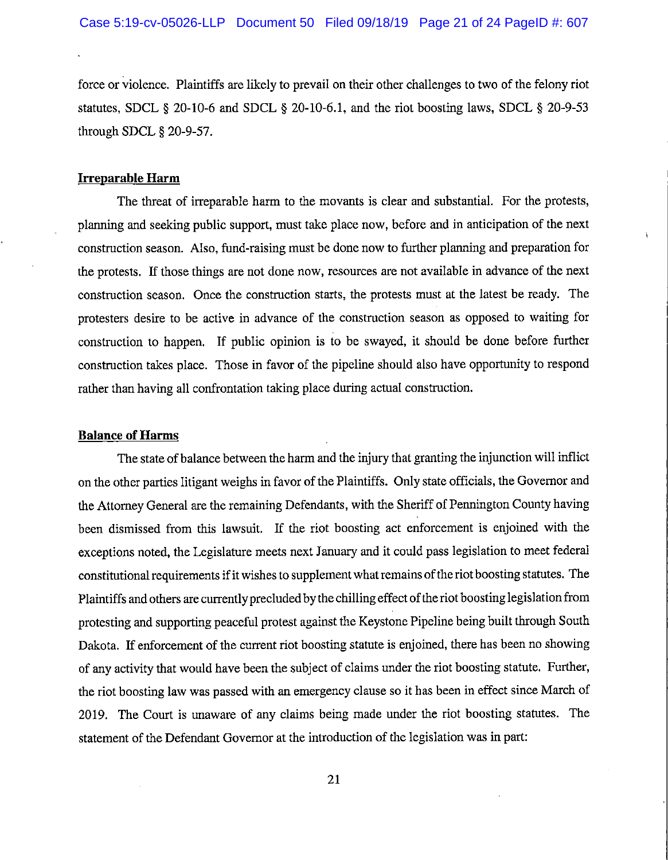force or violence. Plaintiffs are likely to prevail on their other challenges to two of the felony riot statutes, SDCL  $\S$  20-10-6 and SDCL  $\S$  20-10-6.1, and the riot boosting laws, SDCL  $\S$  20-9-53 through SDCL § 20-9-57.

## **Irreparable Harm**

The threat of irreparable harm to the movants is clear and substantial. For the protests, planning and seeking public support, must take place now, before and in anticipation of the next construction season. Also, fund-raising must be done now to further planning and preparation for the protests. If those things are not done now, resources are not available in advance of the next construction season. Once the construction starts, the protests must at the latest be ready. The protesters desire to be active in advance of the construction season as opposed to waiting for construction to happen. If public opinion is to be swayed, it should be done before further construction takes place. Those in favor of the pipeline should also have opportunity to respond rather than having all confrontation taking place during actual construction.

## **Balance of Harms**

The state of balance between the harm and the injury that granting the injunction will inflict on the other parties litigant weighs in favor of the Plaintiffs. Only state officials, the Governor and the Attorney General are the remaining Defendants, with the Sheriff of Pennington County having been dismissed from this lawsuit. If the riot boosting act enforcement is enjoined with the exceptions noted, the Legislature meets next January and it could pass legislation to meet federal constitutional requirements if it wishes to supplement what remains of the riot boosting statutes. The Plaintiffs and others are currently precluded by the chilling effect of the riot boosting legislation from protesting and supporting peaceful protest against the Keystone Pipeline being built through South Dakota. If enforcement of the current riot boosting statute is enjoined, there has been no showing of any activity that would have been the subject of claims under the riot boosting statute. Further, the riot boosting law was passed with an emergency clause so it has been in effect since March of 2019. The Court is unaware of any claims being made under the riot boosting statutes. The statement of the Defendant Governor at the introduction of the legislation was in part: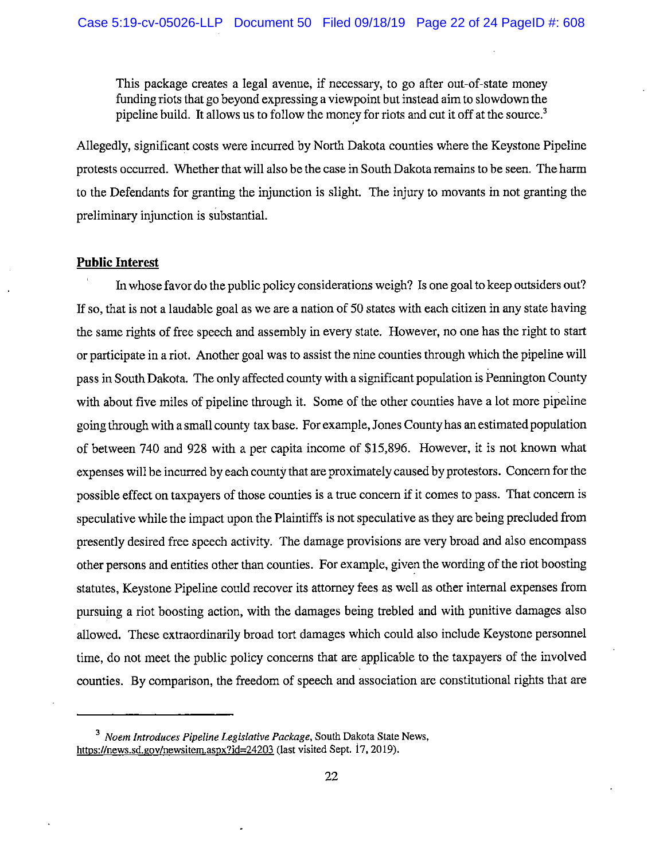This package creates a legal avenue, if necessary, to go after out-of-state money funding riots that go beyond expressing a viewpoint but instead aim to slowdown the pipeline build. It allows us to follow the money for riots and cut it off at the source.<sup>3</sup>

Allegedly, significant costs were incurred by North Dakota counties where the Keystone Pipeline protests occurred. Whether that will also be the case in South Dakota remains to be seen. The harm to the Defendants for granting the injunction is slight. The injury to movants in not granting the preliminary injunction is substantial.

## **Public Interest**

In whose favor do the public policy considerations weigh? Is one goal to keep outsiders out? If so, that is not a laudable goal as we are a nation of 50 states with each citizen in any state having the same rights of free speech and assembly in every state. However, no one has the right to start or participate in a riot. Another goal was to assist the nine counties through which the pipeline will pass in South Dakota. The only affected county with a significant population is Pennington County with about five miles of pipeline through it. Some of the other counties have a lot more pipeline going through with a small county tax base. For example, Jones County has an estimated population of between 740 and 928 with a per capita income of \$15,896. However, it is not known what expenses will be incurred by each county that are proximately caused by protestors. Concern for the possible effect on taxpayers of those counties is a true concern if it comes to pass. That concern is speculative while the impact upon the Plaintiffs is not speculative as they are being precluded from presently desired free speech activity. The damage provisions are very broad and also encompass other persons and entities other than counties. For example, given the wording of the riot boosting statutes. Keystone Pipeline could recover its attorney fees as well as other internal expenses from pursuing a riot boosting action, with the damages being trebled and with punitive damages also allowed. These extraordinarily broad tort damages which could also include Keystone personnel time, do not meet the public policy concerns that are applicable to the taxpayers of the involved counties. By comparison, the freedom of speech and association are constitutional rights that are

<sup>&</sup>lt;sup>3</sup> Noem Introduces Pipeline Legislative Package, South Dakota State News, https://news.sd.gov/newsitem.aspx?id=24203 (last visited Sept. 17, 2019).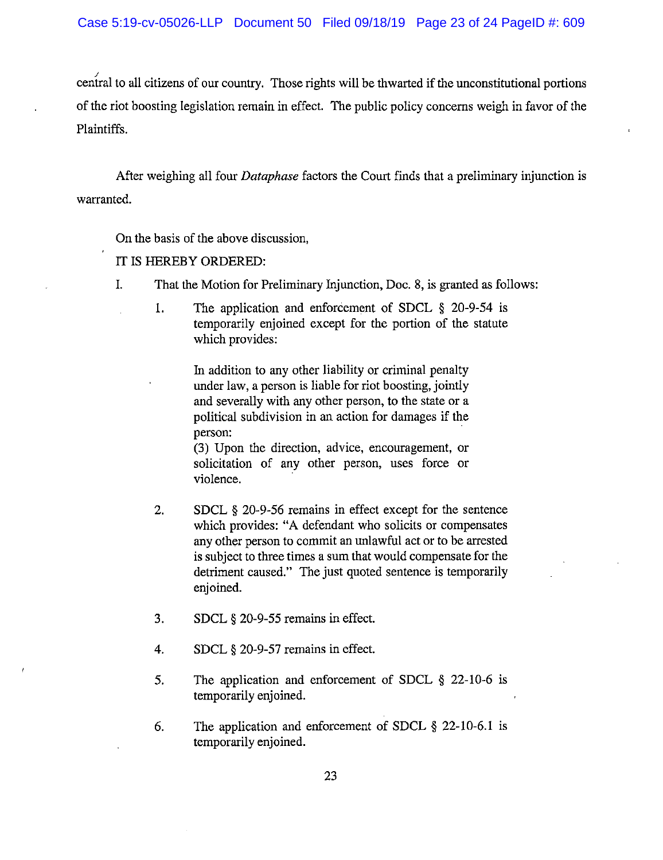central to all citizens of our country. Those rights will be thwarted if the unconstitutional portions of the riot boosting legislation remain in effect. The public policy concerns weigh in favor of the Plaintiffs.

After weighing all four *Dataphase* factors the Court finds that a preliminary injunction is warranted.

On the basis of the above discussion,

## IT IS HEREBY ORDERED:

- That the Motion for Preliminary Injunction, Doc. 8, is granted as follows:  $I<sub>r</sub>$ 
	- 1. The application and enforcement of SDCL  $\S$  20-9-54 is temporarily enjoined except for the portion of the statute which provides:

In addition to any other liability or criminal penalty under law, a person is liable for riot boosting, jointly and severally with any other person, to the state or a political subdivision in an action for damages if the person:

(3) Upon the direction, advice, encouragement, or solicitation of any other person, uses force or violence.

- 2. SDCL § 20-9-56 remains in effect except for the sentence which provides: "A defendant who solicits or compensates any other person to commit an unlawful act or to be arrested is subject to three times a sum that would compensate for the detriment caused." The just quoted sentence is temporarily enjoined.
- $3.$ SDCL § 20-9-55 remains in effect.
- 4. SDCL § 20-9-57 remains in effect.
- 5. The application and enforcement of SDCL § 22-10-6 is temporarily enjoined.
- 6. The application and enforcement of SDCL  $\S$  22-10-6.1 is temporarily enjoined.